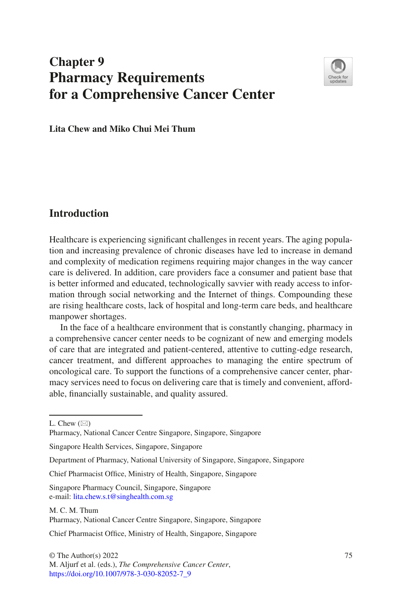# **Chapter 9 Pharmacy Requirements for a Comprehensive Cancer Center**



**Lita Chew and Miko Chui Mei Thum**

## **Introduction**

Healthcare is experiencing signifcant challenges in recent years. The aging population and increasing prevalence of chronic diseases have led to increase in demand and complexity of medication regimens requiring major changes in the way cancer care is delivered. In addition, care providers face a consumer and patient base that is better informed and educated, technologically savvier with ready access to information through social networking and the Internet of things. Compounding these are rising healthcare costs, lack of hospital and long-term care beds, and healthcare manpower shortages.

In the face of a healthcare environment that is constantly changing, pharmacy in a comprehensive cancer center needs to be cognizant of new and emerging models of care that are integrated and patient-centered, attentive to cutting-edge research, cancer treatment, and different approaches to managing the entire spectrum of oncological care. To support the functions of a comprehensive cancer center, pharmacy services need to focus on delivering care that is timely and convenient, affordable, fnancially sustainable, and quality assured.

M. C. M. Thum Pharmacy, National Cancer Centre Singapore, Singapore, Singapore

Chief Pharmacist Offce, Ministry of Health, Singapore, Singapore

L. Chew  $(\boxtimes)$ 

Pharmacy, National Cancer Centre Singapore, Singapore, Singapore

Singapore Health Services, Singapore, Singapore

Department of Pharmacy, National University of Singapore, Singapore, Singapore

Chief Pharmacist Office, Ministry of Health, Singapore, Singapore

Singapore Pharmacy Council, Singapore, Singapore e-mail: [lita.chew.s.t@singhealth.com.sg](mailto:lita.chew.s.t@singhealth.com.sg)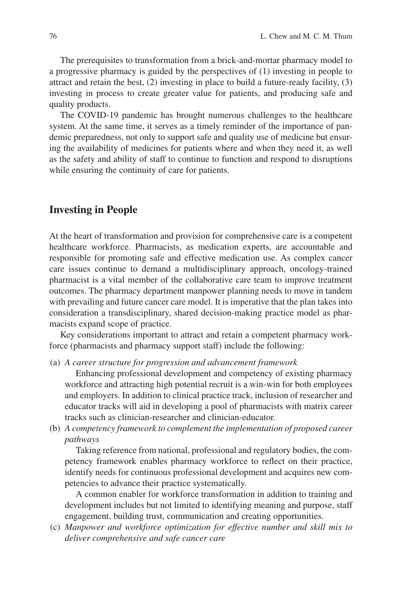The prerequisites to transformation from a brick-and-mortar pharmacy model to a progressive pharmacy is guided by the perspectives of (1) investing in people to attract and retain the best, (2) investing in place to build a future-ready facility, (3) investing in process to create greater value for patients, and producing safe and quality products.

The COVID-19 pandemic has brought numerous challenges to the healthcare system. At the same time, it serves as a timely reminder of the importance of pandemic preparedness, not only to support safe and quality use of medicine but ensuring the availability of medicines for patients where and when they need it, as well as the safety and ability of staff to continue to function and respond to disruptions while ensuring the continuity of care for patients.

## **Investing in People**

At the heart of transformation and provision for comprehensive care is a competent healthcare workforce. Pharmacists, as medication experts, are accountable and responsible for promoting safe and effective medication use. As complex cancer care issues continue to demand a multidisciplinary approach, oncology-trained pharmacist is a vital member of the collaborative care team to improve treatment outcomes. The pharmacy department manpower planning needs to move in tandem with prevailing and future cancer care model. It is imperative that the plan takes into consideration a transdisciplinary, shared decision-making practice model as pharmacists expand scope of practice.

Key considerations important to attract and retain a competent pharmacy workforce (pharmacists and pharmacy support staff) include the following:

(a) *A career structure for progression and advancement framework*

Enhancing professional development and competency of existing pharmacy workforce and attracting high potential recruit is a win-win for both employees and employers. In addition to clinical practice track, inclusion of researcher and educator tracks will aid in developing a pool of pharmacists with matrix career tracks such as clinician-researcher and clinician-educator.

(b) *A competency framework to complement the implementation of proposed career pathways*

Taking reference from national, professional and regulatory bodies, the competency framework enables pharmacy workforce to refect on their practice, identify needs for continuous professional development and acquires new competencies to advance their practice systematically.

A common enabler for workforce transformation in addition to training and development includes but not limited to identifying meaning and purpose, staff engagement, building trust, communication and creating opportunities.

(c) *Manpower and workforce optimization for effective number and skill mix to deliver comprehensive and safe cancer care*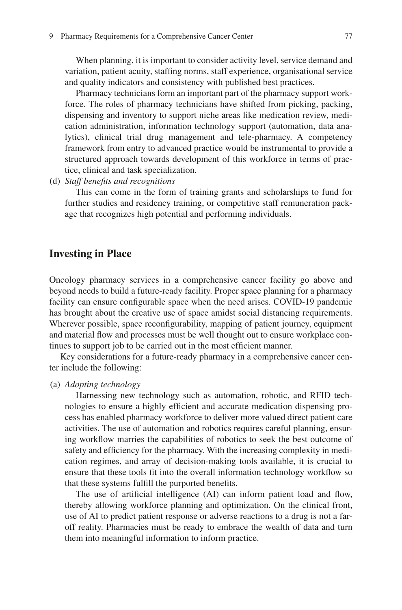When planning, it is important to consider activity level, service demand and variation, patient acuity, staffng norms, staff experience, organisational service and quality indicators and consistency with published best practices.

Pharmacy technicians form an important part of the pharmacy support workforce. The roles of pharmacy technicians have shifted from picking, packing, dispensing and inventory to support niche areas like medication review, medication administration, information technology support (automation, data analytics), clinical trial drug management and tele-pharmacy. A competency framework from entry to advanced practice would be instrumental to provide a structured approach towards development of this workforce in terms of practice, clinical and task specialization.

(d) *Staff benefts and recognitions*

This can come in the form of training grants and scholarships to fund for further studies and residency training, or competitive staff remuneration package that recognizes high potential and performing individuals.

### **Investing in Place**

Oncology pharmacy services in a comprehensive cancer facility go above and beyond needs to build a future-ready facility. Proper space planning for a pharmacy facility can ensure confgurable space when the need arises. COVID-19 pandemic has brought about the creative use of space amidst social distancing requirements. Wherever possible, space reconfigurability, mapping of patient journey, equipment and material fow and processes must be well thought out to ensure workplace continues to support job to be carried out in the most efficient manner.

Key considerations for a future-ready pharmacy in a comprehensive cancer center include the following:

#### (a) *Adopting technology*

Harnessing new technology such as automation, robotic, and RFID technologies to ensure a highly efficient and accurate medication dispensing process has enabled pharmacy workforce to deliver more valued direct patient care activities. The use of automation and robotics requires careful planning, ensuring workfow marries the capabilities of robotics to seek the best outcome of safety and efficiency for the pharmacy. With the increasing complexity in medication regimes, and array of decision-making tools available, it is crucial to ensure that these tools ft into the overall information technology workfow so that these systems fulfll the purported benefts.

The use of artificial intelligence (AI) can inform patient load and flow, thereby allowing workforce planning and optimization. On the clinical front, use of AI to predict patient response or adverse reactions to a drug is not a faroff reality. Pharmacies must be ready to embrace the wealth of data and turn them into meaningful information to inform practice.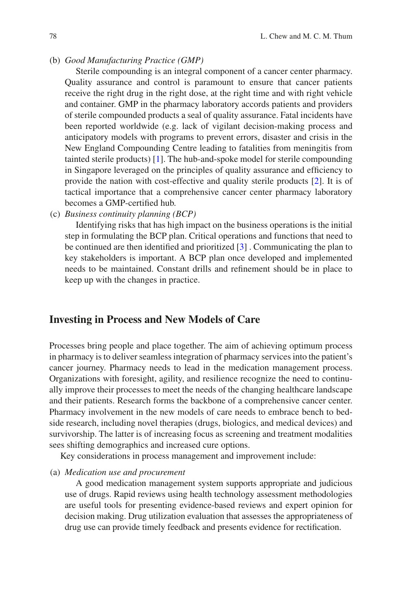(b) *Good Manufacturing Practice (GMP)*

Sterile compounding is an integral component of a cancer center pharmacy. Quality assurance and control is paramount to ensure that cancer patients receive the right drug in the right dose, at the right time and with right vehicle and container. GMP in the pharmacy laboratory accords patients and providers of sterile compounded products a seal of quality assurance. Fatal incidents have been reported worldwide (e.g. lack of vigilant decision-making process and anticipatory models with programs to prevent errors, disaster and crisis in the New England Compounding Centre leading to fatalities from meningitis from tainted sterile products) [\[1](#page-7-0)]. The hub-and-spoke model for sterile compounding in Singapore leveraged on the principles of quality assurance and effciency to provide the nation with cost-effective and quality sterile products [[2\]](#page-7-1). It is of tactical importance that a comprehensive cancer center pharmacy laboratory becomes a GMP-certifed hub.

(c) *Business continuity planning (BCP)*

Identifying risks that has high impact on the business operations is the initial step in formulating the BCP plan. Critical operations and functions that need to be continued are then identifed and prioritized [[3\]](#page-8-0) . Communicating the plan to key stakeholders is important. A BCP plan once developed and implemented needs to be maintained. Constant drills and refnement should be in place to keep up with the changes in practice.

## **Investing in Process and New Models of Care**

Processes bring people and place together. The aim of achieving optimum process in pharmacy is to deliver seamless integration of pharmacy services into the patient's cancer journey. Pharmacy needs to lead in the medication management process. Organizations with foresight, agility, and resilience recognize the need to continually improve their processes to meet the needs of the changing healthcare landscape and their patients. Research forms the backbone of a comprehensive cancer center. Pharmacy involvement in the new models of care needs to embrace bench to bedside research, including novel therapies (drugs, biologics, and medical devices) and survivorship. The latter is of increasing focus as screening and treatment modalities sees shifting demographics and increased cure options.

Key considerations in process management and improvement include:

(a) *Medication use and procurement*

A good medication management system supports appropriate and judicious use of drugs. Rapid reviews using health technology assessment methodologies are useful tools for presenting evidence-based reviews and expert opinion for decision making. Drug utilization evaluation that assesses the appropriateness of drug use can provide timely feedback and presents evidence for rectifcation.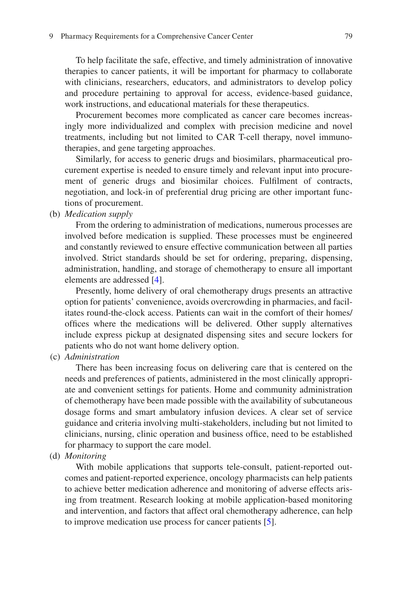To help facilitate the safe, effective, and timely administration of innovative therapies to cancer patients, it will be important for pharmacy to collaborate with clinicians, researchers, educators, and administrators to develop policy and procedure pertaining to approval for access, evidence-based guidance, work instructions, and educational materials for these therapeutics.

Procurement becomes more complicated as cancer care becomes increasingly more individualized and complex with precision medicine and novel treatments, including but not limited to CAR T-cell therapy, novel immunotherapies, and gene targeting approaches.

Similarly, for access to generic drugs and biosimilars, pharmaceutical procurement expertise is needed to ensure timely and relevant input into procurement of generic drugs and biosimilar choices. Fulflment of contracts, negotiation, and lock-in of preferential drug pricing are other important functions of procurement.

(b) *Medication supply*

From the ordering to administration of medications, numerous processes are involved before medication is supplied. These processes must be engineered and constantly reviewed to ensure effective communication between all parties involved. Strict standards should be set for ordering, preparing, dispensing, administration, handling, and storage of chemotherapy to ensure all important elements are addressed [[4\]](#page-8-1).

Presently, home delivery of oral chemotherapy drugs presents an attractive option for patients' convenience, avoids overcrowding in pharmacies, and facilitates round-the-clock access. Patients can wait in the comfort of their homes/ offces where the medications will be delivered. Other supply alternatives include express pickup at designated dispensing sites and secure lockers for patients who do not want home delivery option.

(c) *Administration*

There has been increasing focus on delivering care that is centered on the needs and preferences of patients, administered in the most clinically appropriate and convenient settings for patients. Home and community administration of chemotherapy have been made possible with the availability of subcutaneous dosage forms and smart ambulatory infusion devices. A clear set of service guidance and criteria involving multi-stakeholders, including but not limited to clinicians, nursing, clinic operation and business offce, need to be established for pharmacy to support the care model.

(d) *Monitoring*

With mobile applications that supports tele-consult, patient-reported outcomes and patient-reported experience, oncology pharmacists can help patients to achieve better medication adherence and monitoring of adverse effects arising from treatment. Research looking at mobile application-based monitoring and intervention, and factors that affect oral chemotherapy adherence, can help to improve medication use process for cancer patients [[5\]](#page-8-2).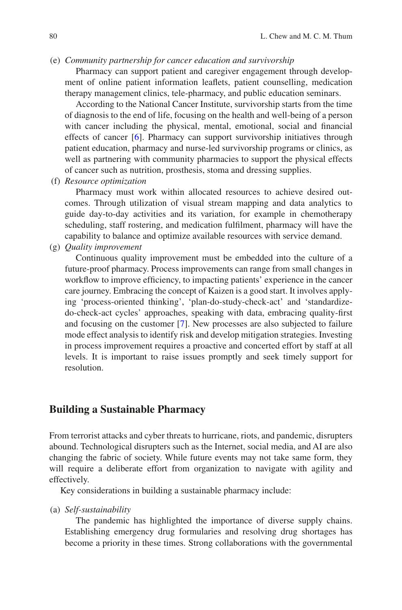#### (e) *Community partnership for cancer education and survivorship*

Pharmacy can support patient and caregiver engagement through development of online patient information leafets, patient counselling, medication therapy management clinics, tele-pharmacy, and public education seminars.

According to the National Cancer Institute, survivorship starts from the time of diagnosis to the end of life, focusing on the health and well-being of a person with cancer including the physical, mental, emotional, social and fnancial effects of cancer [\[6](#page-8-3)]. Pharmacy can support survivorship initiatives through patient education, pharmacy and nurse-led survivorship programs or clinics, as well as partnering with community pharmacies to support the physical effects of cancer such as nutrition, prosthesis, stoma and dressing supplies.

(f) *Resource optimization*

Pharmacy must work within allocated resources to achieve desired outcomes. Through utilization of visual stream mapping and data analytics to guide day-to-day activities and its variation, for example in chemotherapy scheduling, staff rostering, and medication fulflment, pharmacy will have the capability to balance and optimize available resources with service demand.

(g) *Quality improvement*

Continuous quality improvement must be embedded into the culture of a future-proof pharmacy. Process improvements can range from small changes in workflow to improve efficiency, to impacting patients' experience in the cancer care journey. Embracing the concept of Kaizen is a good start. It involves applying 'process-oriented thinking', 'plan-do-study-check-act' and 'standardizedo-check-act cycles' approaches, speaking with data, embracing quality-frst and focusing on the customer [[7\]](#page-8-4). New processes are also subjected to failure mode effect analysis to identify risk and develop mitigation strategies. Investing in process improvement requires a proactive and concerted effort by staff at all levels. It is important to raise issues promptly and seek timely support for resolution.

## **Building a Sustainable Pharmacy**

From terrorist attacks and cyber threats to hurricane, riots, and pandemic, disrupters abound. Technological disrupters such as the Internet, social media, and AI are also changing the fabric of society. While future events may not take same form, they will require a deliberate effort from organization to navigate with agility and effectively.

Key considerations in building a sustainable pharmacy include:

(a) *Self-sustainability*

The pandemic has highlighted the importance of diverse supply chains. Establishing emergency drug formularies and resolving drug shortages has become a priority in these times. Strong collaborations with the governmental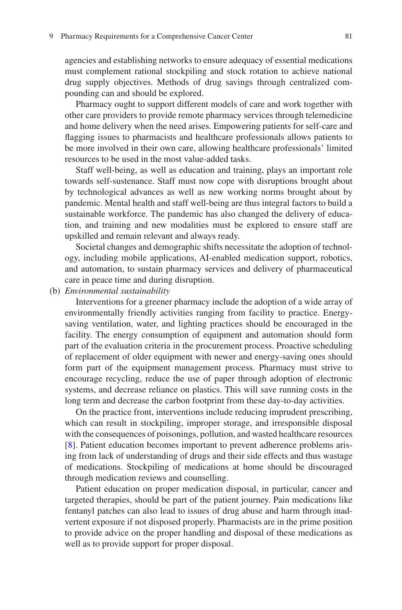agencies and establishing networks to ensure adequacy of essential medications must complement rational stockpiling and stock rotation to achieve national drug supply objectives. Methods of drug savings through centralized compounding can and should be explored.

Pharmacy ought to support different models of care and work together with other care providers to provide remote pharmacy services through telemedicine and home delivery when the need arises. Empowering patients for self-care and fagging issues to pharmacists and healthcare professionals allows patients to be more involved in their own care, allowing healthcare professionals' limited resources to be used in the most value-added tasks.

Staff well-being, as well as education and training, plays an important role towards self-sustenance. Staff must now cope with disruptions brought about by technological advances as well as new working norms brought about by pandemic. Mental health and staff well-being are thus integral factors to build a sustainable workforce. The pandemic has also changed the delivery of education, and training and new modalities must be explored to ensure staff are upskilled and remain relevant and always ready.

Societal changes and demographic shifts necessitate the adoption of technology, including mobile applications, AI-enabled medication support, robotics, and automation, to sustain pharmacy services and delivery of pharmaceutical care in peace time and during disruption.

(b) *Environmental sustainability*

Interventions for a greener pharmacy include the adoption of a wide array of environmentally friendly activities ranging from facility to practice. Energysaving ventilation, water, and lighting practices should be encouraged in the facility. The energy consumption of equipment and automation should form part of the evaluation criteria in the procurement process. Proactive scheduling of replacement of older equipment with newer and energy-saving ones should form part of the equipment management process. Pharmacy must strive to encourage recycling, reduce the use of paper through adoption of electronic systems, and decrease reliance on plastics. This will save running costs in the long term and decrease the carbon footprint from these day-to-day activities.

On the practice front, interventions include reducing imprudent prescribing, which can result in stockpiling, improper storage, and irresponsible disposal with the consequences of poisonings, pollution, and wasted healthcare resources [\[8](#page-8-5)]. Patient education becomes important to prevent adherence problems arising from lack of understanding of drugs and their side effects and thus wastage of medications. Stockpiling of medications at home should be discouraged through medication reviews and counselling.

Patient education on proper medication disposal, in particular, cancer and targeted therapies, should be part of the patient journey. Pain medications like fentanyl patches can also lead to issues of drug abuse and harm through inadvertent exposure if not disposed properly. Pharmacists are in the prime position to provide advice on the proper handling and disposal of these medications as well as to provide support for proper disposal.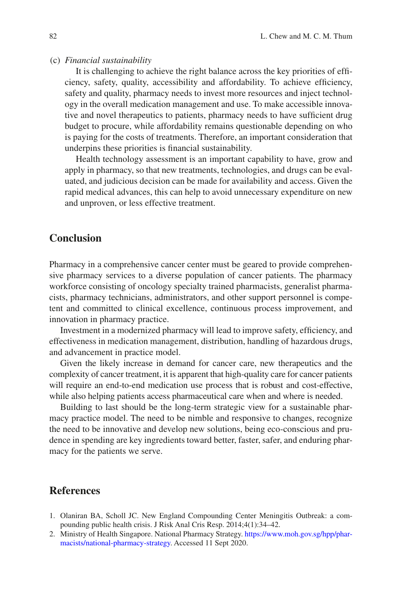#### (c) *Financial sustainability*

It is challenging to achieve the right balance across the key priorities of effciency, safety, quality, accessibility and affordability. To achieve effciency, safety and quality, pharmacy needs to invest more resources and inject technology in the overall medication management and use. To make accessible innovative and novel therapeutics to patients, pharmacy needs to have sufficient drug budget to procure, while affordability remains questionable depending on who is paying for the costs of treatments. Therefore, an important consideration that underpins these priorities is fnancial sustainability.

Health technology assessment is an important capability to have, grow and apply in pharmacy, so that new treatments, technologies, and drugs can be evaluated, and judicious decision can be made for availability and access. Given the rapid medical advances, this can help to avoid unnecessary expenditure on new and unproven, or less effective treatment.

## **Conclusion**

Pharmacy in a comprehensive cancer center must be geared to provide comprehensive pharmacy services to a diverse population of cancer patients. The pharmacy workforce consisting of oncology specialty trained pharmacists, generalist pharmacists, pharmacy technicians, administrators, and other support personnel is competent and committed to clinical excellence, continuous process improvement, and innovation in pharmacy practice.

Investment in a modernized pharmacy will lead to improve safety, efficiency, and effectiveness in medication management, distribution, handling of hazardous drugs, and advancement in practice model.

Given the likely increase in demand for cancer care, new therapeutics and the complexity of cancer treatment, it is apparent that high-quality care for cancer patients will require an end-to-end medication use process that is robust and cost-effective, while also helping patients access pharmaceutical care when and where is needed.

Building to last should be the long-term strategic view for a sustainable pharmacy practice model. The need to be nimble and responsive to changes, recognize the need to be innovative and develop new solutions, being eco-conscious and prudence in spending are key ingredients toward better, faster, safer, and enduring pharmacy for the patients we serve.

## **References**

- <span id="page-7-0"></span>1. Olaniran BA, Scholl JC. New England Compounding Center Meningitis Outbreak: a compounding public health crisis. J Risk Anal Cris Resp. 2014;4(1):34–42.
- <span id="page-7-1"></span>2. Ministry of Health Singapore. National Pharmacy Strategy. [https://www.moh.gov.sg/hpp/phar](https://www.moh.gov.sg/hpp/pharmacists/national-pharmacy-strategy)[macists/national-pharmacy-strategy](https://www.moh.gov.sg/hpp/pharmacists/national-pharmacy-strategy). Accessed 11 Sept 2020.